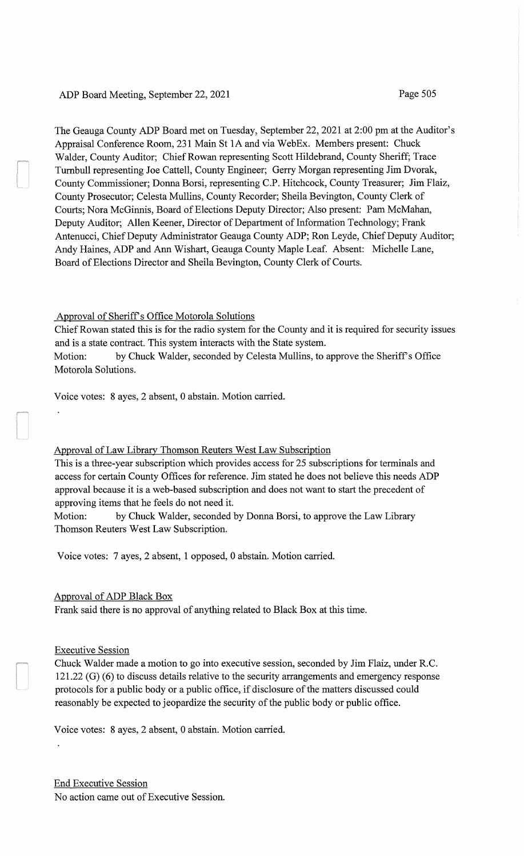# ADP Board Meeting, September 22, 2021 Page 505

The Geauga County ADP Board met on Tuesday, September 22, 2021 at 2:00 pm at the Auditor's Appraisal Conference Room, 231 Main St 1A and via WebEx. Members present: Chuck Walder, County Auditor; Chief Rowan representing Scott Hildebrand, County Sheriff; Trace Turnbull representing Joe Cattell, County Engineer; Gerry Morgan representing Jim Dvorak, County Commissioner; Donna Borsi, representing C.P. Hitchcock, County Treasurer; Jim Flaiz, County Prosecutor; Celesta Mullins, County Recorder; Sheila Bevington, County Clerk of Courts; Nora McGinnis, Board of Elections Deputy Director; Also present: Pam McMahan, Deputy Auditor; Allen Keener, Director of Department of Information Technology; Frank Antenucci, Chief Deputy Administrator Geauga County ADP; Ron Leyde, Chief Deputy Auditor; Andy Haines, ADP and Ann Wishart, Geauga County Maple Leaf. Absent: Michelle Lane, Board of Elections Director and Sheila Bevington, County Clerk of Courts.

# Approval of Sheriff's Office Motorola Solutions

Chief Rowan stated this is for the radio system for the County and it is required for security issues and is a state contract. This system interacts with the State system. Motion: by Chuck Walder, seconded by Celesta Mullins, to approve the Sheriff's Office Motorola Solutions.

Voice votes: 8 ayes, 2 absent, 0 abstain. Motion carried.

# Approval of Law Library Thomson Reuters West Law Subscription

This is a three-year subscription which provides access for 25 subscriptions for terminals and access for certain County Offices for reference. Jim stated he does not believe this needs ADP approval because it is a web-based subscription and does not want to start the precedent of approving items that he feels do not need it.

Motion: by Chuck Walder, seconded by Donna Borsi, to approve the Law Library Thomson Reuters West Law Subscription.

Voice votes: 7 ayes, 2 absent, 1 opposed, 0 abstain. Motion carried.

# Approval of ADP Black Box

Frank said there is no approval of anything related to Black Box at this time.

# Executive Session

Chuck Walder made a motion to go into executive session, seconded by Jim Flaiz, under R.C. 121.22 (G) (6) to discuss details relative to the security arrangements and emergency response protocols for a public body or a public office, if disclosure of the matters discussed could reasonably be expected to jeopardize the security of the public body or public office.

Voice votes: 8 ayes, 2 absent, 0 abstain. Motion carried.

End Executive Session No action came out of Executive Session.